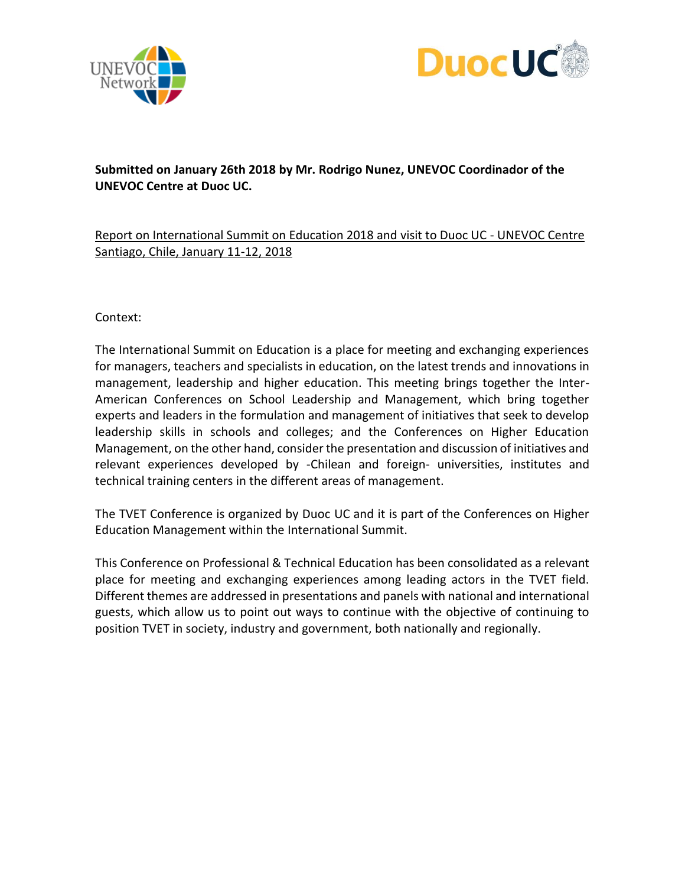



# **Submitted on January 26th 2018 by Mr. Rodrigo Nunez, UNEVOC Coordinador of the UNEVOC Centre at Duoc UC.**

# Report on International Summit on Education 2018 and visit to Duoc UC - UNEVOC Centre Santiago, Chile, January 11-12, 2018

Context:

The International Summit on Education is a place for meeting and exchanging experiences for managers, teachers and specialists in education, on the latest trends and innovations in management, leadership and higher education. This meeting brings together the Inter-American Conferences on School Leadership and Management, which bring together experts and leaders in the formulation and management of initiatives that seek to develop leadership skills in schools and colleges; and the Conferences on Higher Education Management, on the other hand, consider the presentation and discussion of initiatives and relevant experiences developed by -Chilean and foreign- universities, institutes and technical training centers in the different areas of management.

The TVET Conference is organized by Duoc UC and it is part of the Conferences on Higher Education Management within the International Summit.

This Conference on Professional & Technical Education has been consolidated as a relevant place for meeting and exchanging experiences among leading actors in the TVET field. Different themes are addressed in presentations and panels with national and international guests, which allow us to point out ways to continue with the objective of continuing to position TVET in society, industry and government, both nationally and regionally.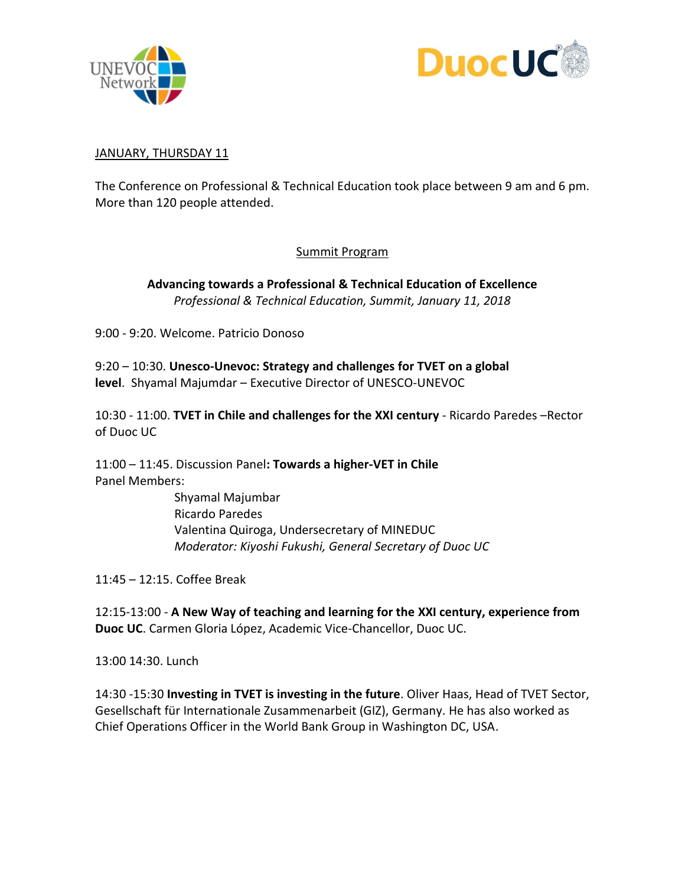



## JANUARY, THURSDAY 11

The Conference on Professional & Technical Education took place between 9 am and 6 pm. More than 120 people attended.

## Summit Program

**Advancing towards a Professional & Technical Education of Excellence** *Professional & Technical Education, Summit, January 11, 2018*

9:00 - 9:20. Welcome. Patricio Donoso

9:20 – 10:30. **Unesco-Unevoc: Strategy and challenges for TVET on a global level**. Shyamal Majumdar – Executive Director of UNESCO-UNEVOC

10:30 - 11:00. **TVET in Chile and challenges for the XXI century** - Ricardo Paredes –Rector of Duoc UC

11:00 – 11:45. Discussion Panel**: Towards a higher-VET in Chile** Panel Members:

> Shyamal Majumbar Ricardo Paredes Valentina Quiroga, Undersecretary of MINEDUC *Moderator: Kiyoshi Fukushi, General Secretary of Duoc UC*

11:45 – 12:15. Coffee Break

12:15-13:00 - **A New Way of teaching and learning for the XXI century, experience from Duoc UC**. Carmen Gloria López, Academic Vice-Chancellor, Duoc UC.

13:00 14:30. Lunch

14:30 -15:30 **Investing in TVET is investing in the future**. Oliver Haas, Head of TVET Sector, Gesellschaft für Internationale Zusammenarbeit (GIZ), Germany. He has also worked as Chief Operations Officer in the World Bank Group in Washington DC, USA.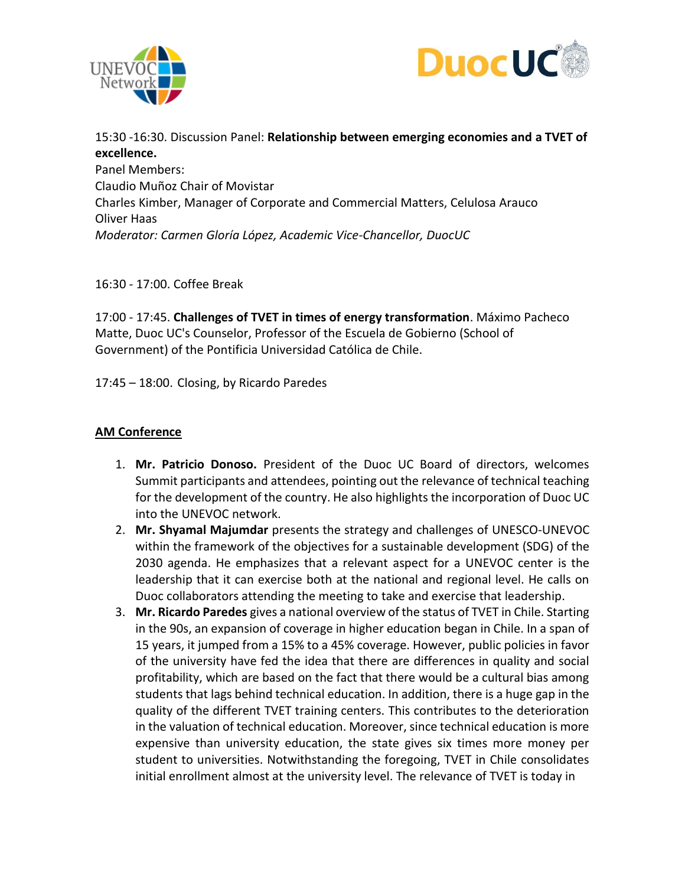



15:30 -16:30. Discussion Panel: **Relationship between emerging economies and a TVET of excellence.**

Panel Members: Claudio Muñoz Chair of Movistar Charles Kimber, Manager of Corporate and Commercial Matters, Celulosa Arauco Oliver Haas *Moderator: Carmen Gloría López, Academic Vice-Chancellor, DuocUC*

16:30 - 17:00. Coffee Break

17:00 - 17:45. **Challenges of TVET in times of energy transformation**. Máximo Pacheco Matte, Duoc UC's Counselor, Professor of the Escuela de Gobierno (School of Government) of the Pontificia Universidad Católica de Chile.

17:45 – 18:00. Closing, by Ricardo Paredes

## **AM Conference**

- 1. **Mr. Patricio Donoso.** President of the Duoc UC Board of directors, welcomes Summit participants and attendees, pointing out the relevance of technical teaching for the development of the country. He also highlights the incorporation of Duoc UC into the UNEVOC network.
- 2. **Mr. Shyamal Majumdar** presents the strategy and challenges of UNESCO-UNEVOC within the framework of the objectives for a sustainable development (SDG) of the 2030 agenda. He emphasizes that a relevant aspect for a UNEVOC center is the leadership that it can exercise both at the national and regional level. He calls on Duoc collaborators attending the meeting to take and exercise that leadership.
- 3. **Mr. Ricardo Paredes** gives a national overview of the status of TVET in Chile. Starting in the 90s, an expansion of coverage in higher education began in Chile. In a span of 15 years, it jumped from a 15% to a 45% coverage. However, public policies in favor of the university have fed the idea that there are differences in quality and social profitability, which are based on the fact that there would be a cultural bias among students that lags behind technical education. In addition, there is a huge gap in the quality of the different TVET training centers. This contributes to the deterioration in the valuation of technical education. Moreover, since technical education is more expensive than university education, the state gives six times more money per student to universities. Notwithstanding the foregoing, TVET in Chile consolidates initial enrollment almost at the university level. The relevance of TVET is today in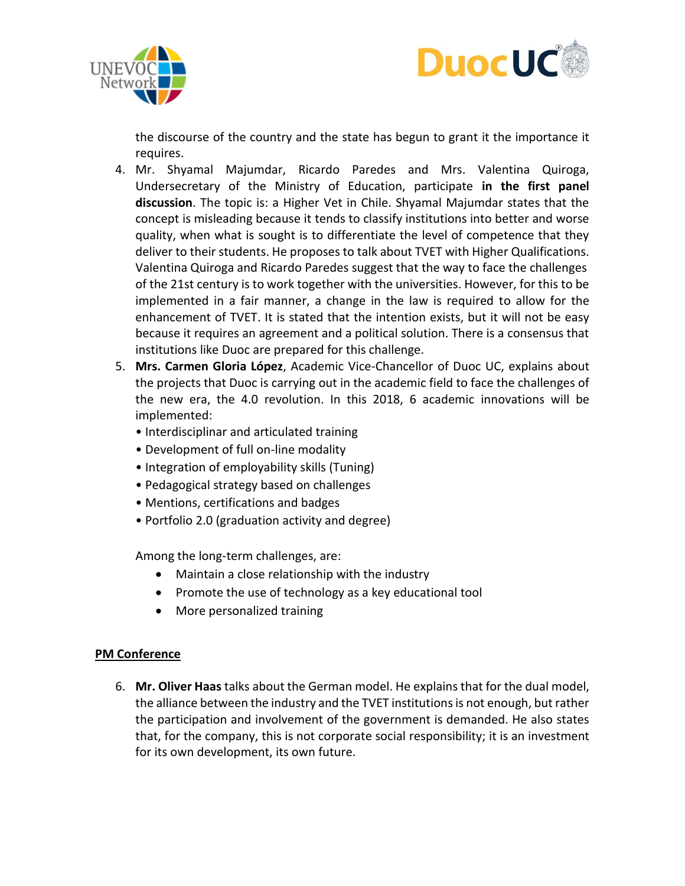



the discourse of the country and the state has begun to grant it the importance it requires.

- 4. Mr. Shyamal Majumdar, Ricardo Paredes and Mrs. Valentina Quiroga, Undersecretary of the Ministry of Education, participate **in the first panel discussion**. The topic is: a Higher Vet in Chile. Shyamal Majumdar states that the concept is misleading because it tends to classify institutions into better and worse quality, when what is sought is to differentiate the level of competence that they deliver to their students. He proposes to talk about TVET with Higher Qualifications. Valentina Quiroga and Ricardo Paredes suggest that the way to face the challenges of the 21st century is to work together with the universities. However, for this to be implemented in a fair manner, a change in the law is required to allow for the enhancement of TVET. It is stated that the intention exists, but it will not be easy because it requires an agreement and a political solution. There is a consensus that institutions like Duoc are prepared for this challenge.
- 5. **Mrs. Carmen Gloria López**, Academic Vice-Chancellor of Duoc UC, explains about the projects that Duoc is carrying out in the academic field to face the challenges of the new era, the 4.0 revolution. In this 2018, 6 academic innovations will be implemented:
	- Interdisciplinar and articulated training
	- Development of full on-line modality
	- Integration of employability skills (Tuning)
	- Pedagogical strategy based on challenges
	- Mentions, certifications and badges
	- Portfolio 2.0 (graduation activity and degree)

Among the long-term challenges, are:

- Maintain a close relationship with the industry
- Promote the use of technology as a key educational tool
- More personalized training

### **PM Conference**

6. **Mr. Oliver Haas** talks about the German model. He explains that for the dual model, the alliance between the industry and the TVET institutions is not enough, but rather the participation and involvement of the government is demanded. He also states that, for the company, this is not corporate social responsibility; it is an investment for its own development, its own future.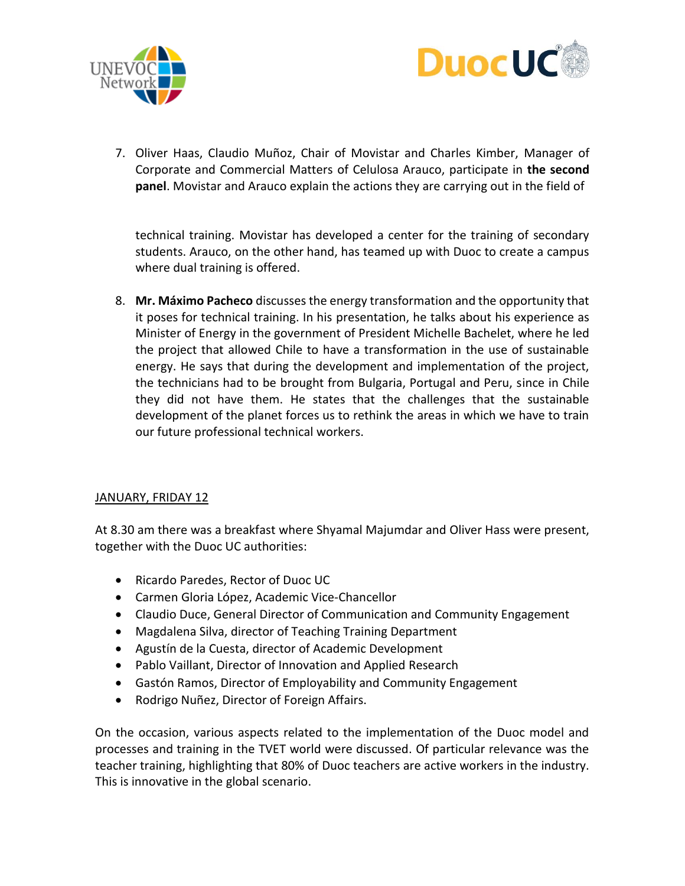



7. Oliver Haas, Claudio Muñoz, Chair of Movistar and Charles Kimber, Manager of Corporate and Commercial Matters of Celulosa Arauco, participate in **the second panel**. Movistar and Arauco explain the actions they are carrying out in the field of

technical training. Movistar has developed a center for the training of secondary students. Arauco, on the other hand, has teamed up with Duoc to create a campus where dual training is offered.

8. **Mr. Máximo Pacheco** discusses the energy transformation and the opportunity that it poses for technical training. In his presentation, he talks about his experience as Minister of Energy in the government of President Michelle Bachelet, where he led the project that allowed Chile to have a transformation in the use of sustainable energy. He says that during the development and implementation of the project, the technicians had to be brought from Bulgaria, Portugal and Peru, since in Chile they did not have them. He states that the challenges that the sustainable development of the planet forces us to rethink the areas in which we have to train our future professional technical workers.

### JANUARY, FRIDAY 12

At 8.30 am there was a breakfast where Shyamal Majumdar and Oliver Hass were present, together with the Duoc UC authorities:

- Ricardo Paredes, Rector of Duoc UC
- Carmen Gloria López, Academic Vice-Chancellor
- Claudio Duce, General Director of Communication and Community Engagement
- Magdalena Silva, director of Teaching Training Department
- Agustín de la Cuesta, director of Academic Development
- Pablo Vaillant, Director of Innovation and Applied Research
- Gastón Ramos, Director of Employability and Community Engagement
- Rodrigo Nuñez, Director of Foreign Affairs.

On the occasion, various aspects related to the implementation of the Duoc model and processes and training in the TVET world were discussed. Of particular relevance was the teacher training, highlighting that 80% of Duoc teachers are active workers in the industry. This is innovative in the global scenario.